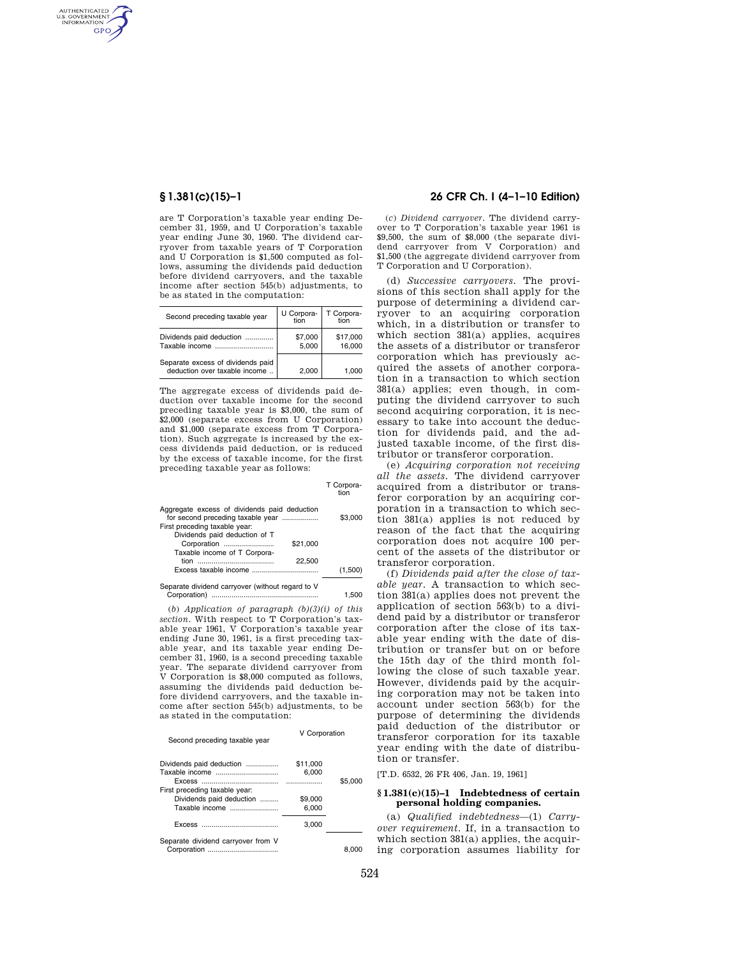AUTHENTICATED<br>U.S. GOVERNMENT<br>INFORMATION **GPO** 

> are T Corporation's taxable year ending December 31, 1959, and U Corporation's taxable year ending June 30, 1960. The dividend carryover from taxable years of T Corporation and U Corporation is \$1,500 computed as follows, assuming the dividends paid deduction before dividend carryovers, and the taxable income after section 545(b) adjustments, to be as stated in the computation:

| Second preceding taxable year                                      | U Corpora-<br>tion | T Corpora-<br>tion |
|--------------------------------------------------------------------|--------------------|--------------------|
| Dividends paid deduction                                           | \$7,000<br>5.000   | \$17,000<br>16,000 |
| Separate excess of dividends paid<br>deduction over taxable income | 2,000              | 1.000              |

The aggregate excess of dividends paid deduction over taxable income for the second preceding taxable year is \$3,000, the sum of \$2,000 (separate excess from U Corporation) and \$1,000 (separate excess from T Corporation). Such aggregate is increased by the excess dividends paid deduction, or is reduced by the excess of taxable income, for the first preceding taxable year as follows:

|                                                                                     | tion    |
|-------------------------------------------------------------------------------------|---------|
| Aggregate excess of dividends paid deduction<br>for second preceding taxable year   | \$3,000 |
| First preceding taxable year:                                                       |         |
| Dividends paid deduction of T                                                       |         |
| Corporation<br>\$21.000                                                             |         |
| Taxable income of T Corpora-                                                        |         |
| 22.500                                                                              |         |
| Excess taxable income                                                               | (1,500) |
| Organization of the distance of the component of the field of the component deal M. |         |

T Corpora-

ate dividend carryover (without regard to V Corporation) ..................................................... 1,500

(*b*) *Application of paragraph (b)(3)(i) of this section.* With respect to T Corporation's taxable year 1961, V Corporation's taxable year ending June 30, 1961, is a first preceding taxable year, and its taxable year ending December 31, 1960, is a second preceding taxable year. The separate dividend carryover from V Corporation is \$8,000 computed as follows, assuming the dividends paid deduction before dividend carryovers, and the taxable income after section 545(b) adjustments, to be as stated in the computation:

|                               | V Corporation |
|-------------------------------|---------------|
| Second preceding taxable year |               |

| Dividends paid deduction           | \$11,000 |         |
|------------------------------------|----------|---------|
| Taxable income                     | 6,000    |         |
|                                    |          | \$5.000 |
| First preceding taxable year:      |          |         |
| Dividends paid deduction           | \$9.000  |         |
| Taxable income                     | 6.000    |         |
|                                    | 3.000    |         |
| Separate dividend carryover from V |          |         |
|                                    |          | 8.000   |

# **§ 1.381(c)(15)–1 26 CFR Ch. I (4–1–10 Edition)**

(*c*) *Dividend carryover.* The dividend carryover to T Corporation's taxable year 1961 is \$9,500, the sum of \$8,000 (the separate dividend carryover from V Corporation) and \$1,500 (the aggregate dividend carryover from T Corporation and U Corporation).

(d) *Successive carryovers.* The provisions of this section shall apply for the purpose of determining a dividend carryover to an acquiring corporation which, in a distribution or transfer to which section 381(a) applies, acquires the assets of a distributor or transferor corporation which has previously acquired the assets of another corporation in a transaction to which section 381(a) applies; even though, in computing the dividend carryover to such second acquiring corporation, it is necessary to take into account the deduction for dividends paid, and the adjusted taxable income, of the first distributor or transferor corporation.

(e) *Acquiring corporation not receiving all the assets.* The dividend carryover acquired from a distributor or transferor corporation by an acquiring corporation in a transaction to which section 381(a) applies is not reduced by reason of the fact that the acquiring corporation does not acquire 100 percent of the assets of the distributor or transferor corporation.

(f) *Dividends paid after the close of taxable year.* A transaction to which section 381(a) applies does not prevent the application of section 563(b) to a dividend paid by a distributor or transferor corporation after the close of its taxable year ending with the date of distribution or transfer but on or before the 15th day of the third month following the close of such taxable year. However, dividends paid by the acquiring corporation may not be taken into account under section 563(b) for the purpose of determining the dividends paid deduction of the distributor or transferor corporation for its taxable year ending with the date of distribution or transfer.

[T.D. 6532, 26 FR 406, Jan. 19, 1961]

### **§ 1.381(c)(15)–1 Indebtedness of certain personal holding companies.**

(a) *Qualified indebtedness*—(1) *Carryover requirement.* If, in a transaction to which section 381(a) applies, the acquiring corporation assumes liability for